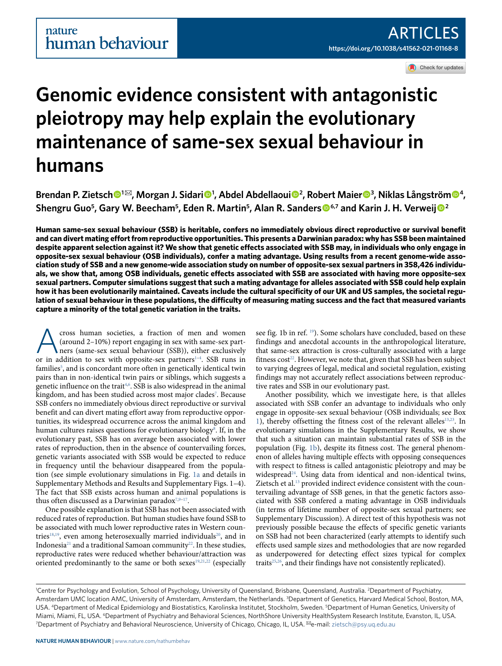Check for updates

## **Genomic evidence consistent with antagonistic pleiotropy may help explain the evolutionary maintenance of same-sex sexual behaviour in humans**

**Brendan P. Zietsch❶<sup>1⊠</sup>, Morgan J. Sidari❶<sup>1</sup>, Abdel Abdellaoui◎<sup>2</sup>, Robert Maier◎<sup>3</sup>, Niklas Långström◎<sup>4</sup>, Shengru Guo<sup>5</sup> , Gary W. Beecham<sup>5</sup> , Eden R. Martin<sup>5</sup> , Alan R. Sanders  6,7 and Karin J. H. Verweij  <sup>2</sup>**

**Human same-sex sexual behaviour (SSB) is heritable, confers no immediately obvious direct reproductive or survival benefit and can divert mating effort from reproductive opportunities. This presents a Darwinian paradox: why has SSB been maintained despite apparent selection against it? We show that genetic effects associated with SSB may, in individuals who only engage in opposite-sex sexual behaviour (OSB individuals), confer a mating advantage. Using results from a recent genome-wide association study of SSB and a new genome-wide association study on number of opposite-sex sexual partners in 358,426 individuals, we show that, among OSB individuals, genetic effects associated with SSB are associated with having more opposite-sex sexual partners. Computer simulations suggest that such a mating advantage for alleles associated with SSB could help explain how it has been evolutionarily maintained. Caveats include the cultural specificity of our UK and US samples, the societal regulation of sexual behaviour in these populations, the difficulty of measuring mating success and the fact that measured variants capture a minority of the total genetic variation in the traits.**

**A** cross human societies, a fraction of men and women (around 2-[1](#page-6-0)0%) report engaging in sex with same-sex partners (same-sex sexual behaviour (SSB)), either exclusively or in addition to sex with opposite-sex partners<sup>1-4</sup> cross human societies, a fraction of men and women (around 2–10%) report engaging in sex with same-sex partners (same-sex sexual behaviour (SSB)), either exclusively families<sup>[5](#page-6-2)</sup>, and is concordant more often in genetically identical twin pairs than in non-identical twin pairs or siblings, which suggests a genetic influence on the trait[4,](#page-6-1)[6](#page-6-3) . SSB is also widespread in the animal kingdom, and has been studied across most major clades<sup>[7](#page-6-4)</sup>. Because SSB confers no immediately obvious direct reproductive or survival benefit and can divert mating effort away from reproductive opportunities, its widespread occurrence across the animal kingdom and human cultures raises questions for evolutionary biology<sup>[8](#page-6-5)</sup>. If, in the evolutionary past, SSB has on average been associated with lower rates of reproduction, then in the absence of countervailing forces, genetic variants associated with SSB would be expected to reduce in frequency until the behaviour disappeared from the population (see simple evolutionary simulations in Fig. [1a](#page-1-0) and details in Supplementary Methods and Results and Supplementary Figs. 1–4). The fact that SSB exists across human and animal populations is thus often discussed as a Darwinian paradox $^{7,9-17}$  $^{7,9-17}$  $^{7,9-17}$  $^{7,9-17}$ .

One possible explanation is that SSB has not been associated with reduced rates of reproduction. But human studies have found SSB to be associated with much lower reproductive rates in Western coun-tries<sup>[18](#page-6-8)[,19](#page-6-9)</sup>, even among heterosexually married individuals<sup>[20](#page-6-10)</sup>, and in Indonesia<sup>[21](#page-6-11)</sup> and a traditional Samoan community<sup>[22](#page-6-12)</sup>. In these studies, reproductive rates were reduced whether behaviour/attraction was oriented predominantly to the same or both sexes  $19,21,22$  $19,21,22$  $19,21,22$  $19,21,22$  (especially

see fig. 1b in ref. [19](#page-6-9)). Some scholars have concluded, based on these findings and anecdotal accounts in the anthropological literature, that same-sex attraction is cross-culturally associated with a large fitness  $cost^{22}$  $cost^{22}$  $cost^{22}$ . However, we note that, given that SSB has been subject to varying degrees of legal, medical and societal regulation, existing findings may not accurately reflect associations between reproductive rates and SSB in our evolutionary past.

Another possibility, which we investigate here, is that alleles associated with SSB confer an advantage to individuals who only engage in opposite-sex sexual behaviour (OSB individuals; see Box [1](#page-1-1)), thereby offsetting the fitness cost of the relevant alleles<sup>[13,](#page-6-13)[23](#page-6-14)</sup>. In evolutionary simulations in the Supplementary Results, we show that such a situation can maintain substantial rates of SSB in the population (Fig. [1b](#page-1-0)), despite its fitness cost. The general phenomenon of alleles having multiple effects with opposing consequences with respect to fitness is called antagonistic pleiotropy and may be widespread<sup>[24](#page-6-15)</sup>. Using data from identical and non-identical twins, Zietsch et al.<sup>[13](#page-6-13)</sup> provided indirect evidence consistent with the countervailing advantage of SSB genes, in that the genetic factors associated with SSB confered a mating advantage in OSB individuals (in terms of lifetime number of opposite-sex sexual partners; see Supplementary Discussion). A direct test of this hypothesis was not previously possible because the effects of specific genetic variants on SSB had not been characterized (early attempts to identify such effects used sample sizes and methodologies that are now regarded as underpowered for detecting effect sizes typical for complex traits[25,](#page-6-16)[26](#page-6-17), and their findings have not consistently replicated).

<sup>&</sup>lt;sup>1</sup>Centre for Psychology and Evolution, School of Psychology, University of Queensland, Brisbane, Queensland, Australia. <sup>2</sup>Department of Psychiatry, Amsterdam UMC location AMC, University of Amsterdam, Amsterdam, the Netherlands. 3Department of Genetics, Harvard Medical School, Boston, MA, USA. 4Department of Medical Epidemiology and Biostatistics, Karolinska Institutet, Stockholm, Sweden. 5Department of Human Genetics, University of Miami, Miami, FL, USA. 6Department of Psychiatry and Behavioral Sciences, NorthShore University HealthSystem Research Institute, Evanston, IL, USA. <sup>7</sup>Department of Psychiatry and Behavioral Neuroscience, University of Chicago, Chicago, IL, USA. ✉e-mail: [zietsch@psy.uq.edu.au](mailto:zietsch@psy.uq.edu.au)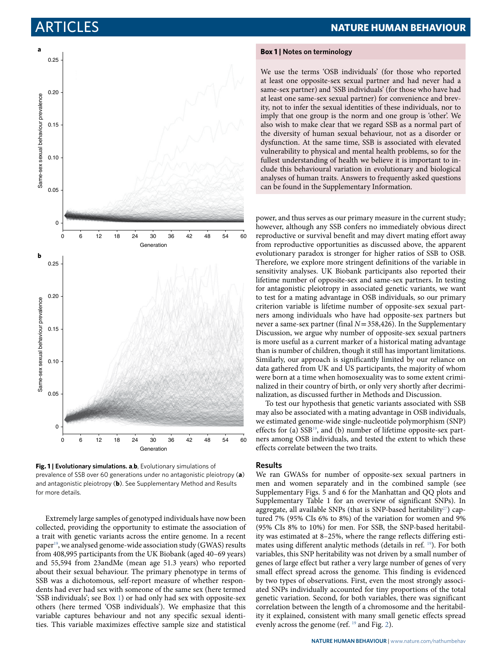

<span id="page-1-0"></span>**Fig. 1 | Evolutionary simulations. a**,**b**, Evolutionary simulations of prevalence of SSB over 60 generations under no antagonistic pleiotropy (**a**) and antagonistic pleiotropy (**b**). See Supplementary Method and Results for more details.

Extremely large samples of genotyped individuals have now been collected, providing the opportunity to estimate the association of a trait with genetic variants across the entire genome. In a recent paper<sup>[19](#page-6-9)</sup>, we analysed genome-wide association study (GWAS) results from 408,995 participants from the UK Biobank (aged 40–69 years) and 55,594 from 23andMe (mean age 51.3 years) who reported about their sexual behaviour. The primary phenotype in terms of SSB was a dichotomous, self-report measure of whether respondents had ever had sex with someone of the same sex (here termed 'SSB individuals'; see Box [1\)](#page-1-1) or had only had sex with opposite-sex others (here termed 'OSB individuals'). We emphasize that this variable captures behaviour and not any specific sexual identities. This variable maximizes effective sample size and statistical

#### <span id="page-1-1"></span>**Box 1 | Notes on terminology**

We use the terms 'OSB individuals' (for those who reported at least one opposite-sex sexual partner and had never had a same-sex partner) and 'SSB individuals' (for those who have had at least one same-sex sexual partner) for convenience and brevity, not to infer the sexual identities of these individuals, nor to imply that one group is the norm and one group is 'other'. We also wish to make clear that we regard SSB as a normal part of the diversity of human sexual behaviour, not as a disorder or dysfunction. At the same time, SSB is associated with elevated vulnerability to physical and mental health problems, so for the fullest understanding of health we believe it is important to include this behavioural variation in evolutionary and biological analyses of human traits. Answers to frequently asked questions can be found in the Supplementary Information.

power, and thus serves as our primary measure in the current study; however, although any SSB confers no immediately obvious direct reproductive or survival benefit and may divert mating effort away from reproductive opportunities as discussed above, the apparent evolutionary paradox is stronger for higher ratios of SSB to OSB. Therefore, we explore more stringent definitions of the variable in sensitivity analyses. UK Biobank participants also reported their lifetime number of opposite-sex and same-sex partners. In testing for antagonistic pleiotropy in associated genetic variants, we want to test for a mating advantage in OSB individuals, so our primary criterion variable is lifetime number of opposite-sex sexual partners among individuals who have had opposite-sex partners but never a same-sex partner (final  $N= 358,426$ ). In the Supplementary Discussion, we argue why number of opposite-sex sexual partners is more useful as a current marker of a historical mating advantage than is number of children, though it still has important limitations. Similarly, our approach is significantly limited by our reliance on data gathered from UK and US participants, the majority of whom were born at a time when homosexuality was to some extent criminalized in their country of birth, or only very shortly after decriminalization, as discussed further in Methods and Discussion.

To test our hypothesis that genetic variants associated with SSB may also be associated with a mating advantage in OSB individuals, we estimated genome-wide single-nucleotide polymorphism (SNP) effects for (a)  $SSB^{19}$  $SSB^{19}$  $SSB^{19}$ , and (b) number of lifetime opposite-sex partners among OSB individuals, and tested the extent to which these effects correlate between the two traits.

#### **Results**

We ran GWASs for number of opposite-sex sexual partners in men and women separately and in the combined sample (see Supplementary Figs. 5 and 6 for the Manhattan and QQ plots and Supplementary Table 1 for an overview of significant SNPs). In aggregate, all available SNPs (that is SNP-based heritability<sup>[27](#page-6-18)</sup>) captured 7% (95% CIs 6% to 8%) of the variation for women and 9% (95% CIs 8% to 10%) for men. For SSB, the SNP-based heritability was estimated at 8–25%, where the range reflects differing estimates using different analytic methods (details in ref. [19](#page-6-9)). For both variables, this SNP heritability was not driven by a small number of genes of large effect but rather a very large number of genes of very small effect spread across the genome. This finding is evidenced by two types of observations. First, even the most strongly associated SNPs individually accounted for tiny proportions of the total genetic variation. Second, for both variables, there was significant correlation between the length of a chromosome and the heritability it explained, consistent with many small genetic effects spread evenly across the genome (ref. <sup>[19](#page-6-9)</sup> and Fig. [2](#page-2-0)).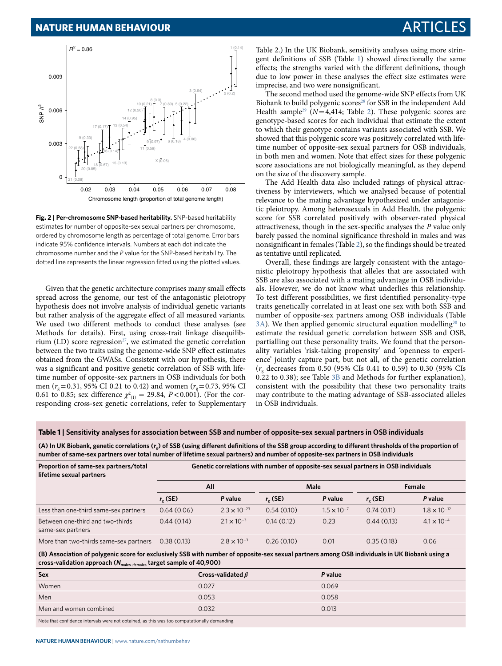#### **NATURE HUMAN BEHAVIOUR**



<span id="page-2-0"></span>**Fig. 2 | Per-chromosome SNP-based heritability.** SNP-based heritability estimates for number of opposite-sex sexual partners per chromosome, ordered by chromosome length as percentage of total genome. Error bars indicate 95% confidence intervals. Numbers at each dot indicate the chromosome number and the *P* value for the SNP-based heritability. The dotted line represents the linear regression fitted using the plotted values.

Given that the genetic architecture comprises many small effects spread across the genome, our test of the antagonistic pleiotropy hypothesis does not involve analysis of individual genetic variants but rather analysis of the aggregate effect of all measured variants. We used two different methods to conduct these analyses (see Methods for details). First, using cross-trait linkage disequilib-rium (LD) score regression<sup>[27](#page-6-18)</sup>, we estimated the genetic correlation between the two traits using the genome-wide SNP effect estimates obtained from the GWASs. Consistent with our hypothesis, there was a significant and positive genetic correlation of SSB with lifetime number of opposite-sex partners in OSB individuals for both men ( $r_e$  = 0.31, 95% CI 0.21 to 0.42) and women ( $r_e$  = 0.73, 95% CI 0.61 to 0.85; sex difference  $\chi^2_{(1)} = 29.84, P < 0.001$ ). (For the corresponding cross-sex genetic correlations, refer to Supplementary Table 2.) In the UK Biobank, sensitivity analyses using more stringent definitions of SSB (Table [1](#page-2-1)) showed directionally the same effects; the strengths varied with the different definitions, though due to low power in these analyses the effect size estimates were imprecise, and two were nonsignificant.

The second method used the genome-wide SNP effects from UK Biobank to build polygenic scores<sup>[28](#page-7-0)</sup> for SSB in the independent Add Health sample<sup>[29](#page-7-1)</sup> ( $N=4,414$ ; Table [2](#page-3-0)). These polygenic scores are genotype-based scores for each individual that estimate the extent to which their genotype contains variants associated with SSB. We showed that this polygenic score was positively correlated with lifetime number of opposite-sex sexual partners for OSB individuals, in both men and women. Note that effect sizes for these polygenic score associations are not biologically meaningful, as they depend on the size of the discovery sample.

The Add Health data also included ratings of physical attractiveness by interviewers, which we analysed because of potential relevance to the mating advantage hypothesized under antagonistic pleiotropy. Among heterosexuals in Add Health, the polygenic score for SSB correlated positively with observer-rated physical attractiveness, though in the sex-specific analyses the P value only barely passed the nominal significance threshold in males and was nonsignificant in females (Table [2](#page-3-0)), so the findings should be treated as tentative until replicated.

Overall, these findings are largely consistent with the antagonistic pleiotropy hypothesis that alleles that are associated with SSB are also associated with a mating advantage in OSB individuals. However, we do not know what underlies this relationship. To test different possibilities, we first identified personality-type traits genetically correlated in at least one sex with both SSB and number of opposite-sex partners among OSB individuals (Table  $3A$ ). We then applied genomic structural equation modelling<sup>[30](#page-7-2)</sup> to estimate the residual genetic correlation between SSB and OSB, partialling out these personality traits. We found that the personality variables 'risk-taking propensity' and 'openness to experience' jointly capture part, but not all, of the genetic correlation  $(r_{\rm g}$  decreases from 0.50 (95% CIs 0.41 to 0.59) to 0.30 (95% CIs 0.22 to 0.38); see Table [3B](#page-4-0) and Methods for further explanation), consistent with the possibility that these two personality traits may contribute to the mating advantage of SSB-associated alleles in OSB individuals.

#### <span id="page-2-1"></span>**Table 1 | Sensitivity analyses for association between SSB and number of opposite-sex sexual partners in oSB individuals**

**(A) in uK Biobank, genetic correlations (***r***g) of SSB (using different definitions of the SSB group according to different thresholds of the proportion of number of same-sex partners over total number of lifetime sexual partners) and number of opposite-sex partners in oSB individuals**

| Proportion of same-sex partners/total<br>lifetime sexual partners | Genetic correlations with number of opposite-sex sexual partners in OSB individuals |                       |                  |                      |                  |                       |
|-------------------------------------------------------------------|-------------------------------------------------------------------------------------|-----------------------|------------------|----------------------|------------------|-----------------------|
|                                                                   | All                                                                                 |                       | Male             |                      | Female           |                       |
|                                                                   | $r_{\rm c}$ (SE)                                                                    | P value               | $r_{\rm c}$ (SE) | P value              | $r_{\rm c}$ (SE) | P value               |
| Less than one-third same-sex partners                             | 0.64(0.06)                                                                          | $2.3 \times 10^{-23}$ | 0.54(0.10)       | $1.5 \times 10^{-7}$ | 0.74(0.11)       | $1.8 \times 10^{-12}$ |
| Between one-third and two-thirds<br>same-sex partners             | 0.44(0.14)                                                                          | $2.1 \times 10^{-3}$  | 0.14(0.12)       | 0.23                 | 0.44(0.13)       | $4.1 \times 10^{-4}$  |
| More than two-thirds same-sex partners                            | 0.38(0.13)                                                                          | $2.8 \times 10^{-3}$  | 0.26(0.10)       | 0.01                 | 0.35(0.18)       | 0.06                  |

**(B) Association of polygenic score for exclusively SSB with number of opposite-sex sexual partners among oSB individuals in uK Biobank using a cross-validation approach (***N***males**+**females target sample of 40,900)**

| Sex                    | Cross-validated $\beta$ | P value |
|------------------------|-------------------------|---------|
| Women                  | 0.027                   | 0.069   |
| Men                    | 0.053                   | 0.058   |
| Men and women combined | 0.032                   | 0.013   |
|                        |                         |         |

Note that confidence intervals were not obtained, as this was too computationally demanding.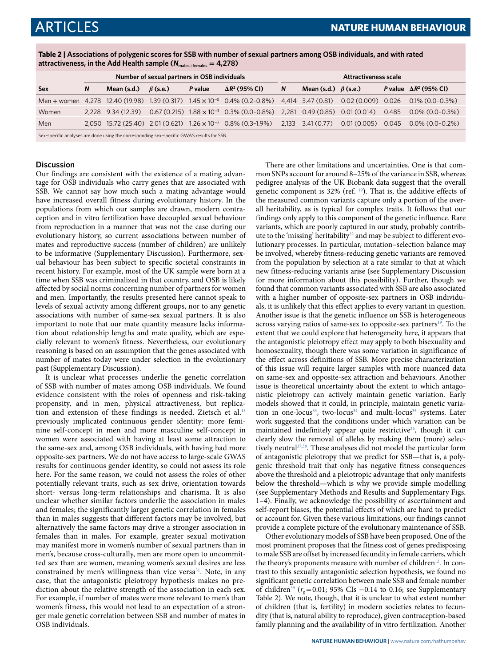<span id="page-3-0"></span>**Table 2 | Associations of polygenic scores for SSB with number of sexual partners among oSB individuals, and with rated attractiveness, in the Add Health sample (** $N_{\text{males+females}} = 4,278$ **)** 

|                                                                                           |   | Number of sexual partners in OSB individuals |                |         |                                                                                                                           |   |                            | Attractiveness scale |       |                               |
|-------------------------------------------------------------------------------------------|---|----------------------------------------------|----------------|---------|---------------------------------------------------------------------------------------------------------------------------|---|----------------------------|----------------------|-------|-------------------------------|
| Sex                                                                                       | N | Mean (s.d.)                                  | $\beta$ (s.e.) | P value | $\Delta R^2$ (95% CI)                                                                                                     | N | Mean (s.d.) $\beta$ (s.e.) |                      |       | P value $\Delta R^2$ (95% CI) |
|                                                                                           |   |                                              |                |         | Men + women 4,278 12.40 (19.98) 1.39 (0.317) 1.45 x 10 <sup>-5</sup> 0.4% (0.2-0.8%) 4,414 3.47 (0.81) 0.02 (0.009) 0.026 |   |                            |                      |       | $0.1\%$ (0.0-0.3%)            |
| Women                                                                                     |   | 2.228 9.34 (12.39)                           |                |         | $0.67(0.215)$ $1.88 \times 10^{-3}$ $0.3\% (0.0 - 0.8\%)$ 2,281 0.49 (0.85) 0.01 (0.014)                                  |   |                            |                      | 0.485 | $0.0\%$ (0.0-0.3%)            |
| Men                                                                                       |   |                                              |                |         | 2,050 15.72 (25.40) 2.01 (0.621) 1.26 $\times$ 10 <sup>-3</sup> 0.8% (0.3-1.9%) 2,133 3.41 (0.77)                         |   |                            | 0.01(0.005)          | 0.045 | $0.0\%$ (0.0-0.2%)            |
| Sex-specific analyses are done using the corresponding sex-specific GWAS results for SSB. |   |                                              |                |         |                                                                                                                           |   |                            |                      |       |                               |

**Discussion**

Our findings are consistent with the existence of a mating advantage for OSB individuals who carry genes that are associated with SSB. We cannot say how much such a mating advantage would have increased overall fitness during evolutionary history. In the populations from which our samples are drawn, modern contraception and in vitro fertilization have decoupled sexual behaviour from reproduction in a manner that was not the case during our evolutionary history, so current associations between number of mates and reproductive success (number of children) are unlikely to be informative (Supplementary Discussion). Furthermore, sexual behaviour has been subject to specific societal constraints in recent history. For example, most of the UK sample were born at a time when SSB was criminalized in that country, and OSB is likely affected by social norms concerning number of partners for women and men. Importantly, the results presented here cannot speak to levels of sexual activity among different groups, nor to any genetic associations with number of same-sex sexual partners. It is also important to note that our mate quantity measure lacks information about relationship lengths and mate quality, which are especially relevant to women's fitness. Nevertheless, our evolutionary reasoning is based on an assumption that the genes associated with number of mates today were under selection in the evolutionary past (Supplementary Discussion).

It is unclear what processes underlie the genetic correlation of SSB with number of mates among OSB individuals. We found evidence consistent with the roles of openness and risk-taking propensity, and in men, physical attractiveness, but replica-tion and extension of these findings is needed. Zietsch et al.<sup>[13](#page-6-13)</sup> previously implicated continuous gender identity: more feminine self-concept in men and more masculine self-concept in women were associated with having at least some attraction to the same-sex and, among OSB individuals, with having had more opposite-sex partners. We do not have access to large-scale GWAS results for continuous gender identity, so could not assess its role here. For the same reason, we could not assess the roles of other potentially relevant traits, such as sex drive, orientation towards short- versus long-term relationships and charisma. It is also unclear whether similar factors underlie the association in males and females; the significantly larger genetic correlation in females than in males suggests that different factors may be involved, but alternatively the same factors may drive a stronger association in females than in males. For example, greater sexual motivation may manifest more in women's number of sexual partners than in men's, because cross-culturally, men are more open to uncommitted sex than are women, meaning women's sexual desires are less constrained by men's willingness than vice versa<sup>[31](#page-7-3)</sup>. Note, in any case, that the antagonistic pleiotropy hypothesis makes no prediction about the relative strength of the association in each sex. For example, if number of mates were more relevant to men's than women's fitness, this would not lead to an expectation of a stronger male genetic correlation between SSB and number of mates in OSB individuals.

There are other limitations and uncertainties. One is that common SNPs account for around 8–25% of the variance in SSB, whereas pedigree analysis of the UK Biobank data suggest that the overall genetic component is 32% (ref. [19](#page-6-9)). That is, the additive effects of the measured common variants capture only a portion of the overall heritability, as is typical for complex traits. It follows that our findings only apply to this component of the genetic influence. Rare variants, which are poorly captured in our study, probably contrib-ute to the 'missing' heritability<sup>[32](#page-7-4)</sup> and may be subject to different evolutionary processes. In particular, mutation–selection balance may be involved, whereby fitness-reducing genetic variants are removed from the population by selection at a rate similar to that at which new fitness-reducing variants arise (see Supplementary Discussion for more information about this possibility). Further, though we found that common variants associated with SSB are also associated with a higher number of opposite-sex partners in OSB individuals, it is unlikely that this effect applies to every variant in question. Another issue is that the genetic influence on SSB is heterogeneous across varying ratios of same-sex to opposite-sex partners<sup>[19](#page-6-9)</sup>. To the extent that we could explore that heterogeneity here, it appears that the antagonistic pleiotropy effect may apply to both bisexuality and homosexuality, though there was some variation in significance of the effect across definitions of SSB. More precise characterization of this issue will require larger samples with more nuanced data on same-sex and opposite-sex attraction and behaviours. Another issue is theoretical uncertainty about the extent to which antagonistic pleiotropy can actively maintain genetic variation. Early models showed that it could, in principle, maintain genetic varia-tion in one-locus<sup>[33](#page-7-5)</sup>, two-locus<sup>[34](#page-7-6)</sup> and multi-locus<sup>[35](#page-7-7)</sup> systems. Later work suggested that the conditions under which variation can be maintained indefinitely appear quite restrictive<sup>[36](#page-7-8)</sup>, though it can clearly slow the removal of alleles by making them (more) selec-tively neutral<sup>[37,](#page-7-9)[38](#page-7-10)</sup>. These analyses did not model the particular form of antagonistic pleiotropy that we predict for SSB—that is, a polygenic threshold trait that only has negative fitness consequences above the threshold and a pleiotropic advantage that only manifests below the threshold—which is why we provide simple modelling (see Supplementary Methods and Results and Supplementary Figs. 1–4). Finally, we acknowledge the possibility of ascertainment and self-report biases, the potential effects of which are hard to predict or account for. Given these various limitations, our findings cannot provide a complete picture of the evolutionary maintenance of SSB.

Other evolutionary models of SSB have been proposed. One of the most prominent proposes that the fitness cost of genes predisposing to male SSB are offset by increased fecundity in female carriers, which the theory's proponents measure with number of children<sup>[12](#page-6-19)</sup>. In contrast to this sexually antagonistic selection hypothesis, we found no significant genetic correlation between male SSB and female number of children<sup>[39](#page-7-11)</sup> ( $r_g$  = 0.01; 95% CIs −0.14 to 0.16; see Supplementary Table 2). We note, though, that it is unclear to what extent number of children (that is, fertility) in modern societies relates to fecundity (that is, natural ability to reproduce), given contraception-based family planning and the availability of in vitro fertilization. Another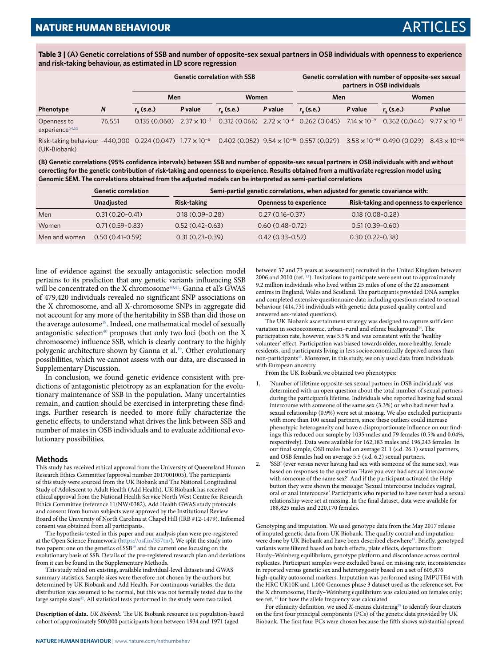<span id="page-4-0"></span>

| <b>Genetic correlation with SSB</b>                                                                                                                             |        |                    |         |                    | Genetic correlation with number of opposite-sex sexual<br>partners in OSB individuals |                                                                                                                                                      |         |                    |         |
|-----------------------------------------------------------------------------------------------------------------------------------------------------------------|--------|--------------------|---------|--------------------|---------------------------------------------------------------------------------------|------------------------------------------------------------------------------------------------------------------------------------------------------|---------|--------------------|---------|
|                                                                                                                                                                 |        | Men                |         | <b>Women</b>       |                                                                                       | Men                                                                                                                                                  |         | <b>Women</b>       |         |
| Phenotype                                                                                                                                                       | N      | $r_{\rm c}$ (s.e.) | P value | $r_{\rm g}$ (s.e.) | P value                                                                               | $r_{\rm c}$ (s.e.)                                                                                                                                   | P value | $r_{\rm c}$ (s.e.) | P value |
| Openness to<br>experience <sup>54,55</sup>                                                                                                                      | 76.551 |                    |         |                    |                                                                                       | $0.135(0.060)$ $2.37 \times 10^{-2}$ $0.312(0.066)$ $2.72 \times 10^{-6}$ $0.262(0.045)$ $7.14 \times 10^{-9}$ $0.362(0.044)$ $9.77 \times 10^{-17}$ |         |                    |         |
| 0.40 Lelise Leleciscus 110 000 0 221 (0 017) 177 $\cdot$ 10-6 0 102 (0 052) 0 54 $\cdot$ 10-5 0 557 (0 020) 2 50 $\cdot$ 10-84 0 100 (0 020) 0 12 $\cdot$ 10-66 |        |                    |         |                    |                                                                                       |                                                                                                                                                      |         |                    |         |

Risk-taking behaviour ~440,000  $\,$  0.224 (0.047)  $\,$  1.77  $\times$  10<sup>-6</sup> (UK-Biobank)  $0.402$  (0.052)  $9.54 \times 10^{-15}$  0.557 (0.029)  $3.58 \times 10^{-84}$  0.490 (0.029)  $8.43 \times 10^{-8}$ 

**(B) Genetic correlations (95% confidence intervals) between SSB and number of opposite-sex sexual partners in oSB individuals with and without correcting for the genetic contribution of risk-taking and openness to experience. Results obtained from a multivariate regression model using Genomic SEM. the correlations obtained from the adjusted models can be interpreted as semi-partial correlations**

|               | <b>Genetic correlation</b> | Semi-partial genetic correlations, when adjusted for genetic covariance with: |                               |                                        |  |  |  |
|---------------|----------------------------|-------------------------------------------------------------------------------|-------------------------------|----------------------------------------|--|--|--|
|               | Unadjusted                 | Risk-taking                                                                   | <b>Openness to experience</b> | Risk-taking and openness to experience |  |  |  |
| Men           | $0.31(0.20 - 0.41)$        | $0.18(0.09 - 0.28)$                                                           | $0.27(0.16 - 0.37)$           | $0.18(0.08 - 0.28)$                    |  |  |  |
| Women         | $0.71(0.59 - 0.83)$        | $0.52(0.42 - 0.63)$                                                           | $0.60(0.48-0.72)$             | $0.51(0.39 - 0.60)$                    |  |  |  |
| Men and women | $0.50(0.41-0.59)$          | $0.31(0.23 - 0.39)$                                                           | $0.42(0.33 - 0.52)$           | $0.30(0.22 - 0.38)$                    |  |  |  |

line of evidence against the sexually antagonistic selection model pertains to its prediction that any genetic variants influencing SSB will be concentrated on the X chromosome<sup>[40](#page-7-12),[41](#page-7-13)</sup>: Ganna et al.'s GWAS of 479,420 individuals revealed no significant SNP associations on the X chromosome, and all X-chromosome SNPs in aggregate did not account for any more of the heritability in SSB than did those on the average autosome<sup>[19](#page-6-9)</sup>. Indeed, one mathematical model of sexually antagonistic selection<sup>[40](#page-7-12)</sup> proposes that only two loci (both on the X chromosome) influence SSB, which is clearly contrary to the highly polygenic architecture shown by Ganna et al.[19](#page-6-9). Other evolutionary possibilities, which we cannot assess with our data, are discussed in Supplementary Discussion.

In conclusion, we found genetic evidence consistent with predictions of antagonistic pleiotropy as an explanation for the evolutionary maintenance of SSB in the population. Many uncertainties remain, and caution should be exercised in interpreting these findings. Further research is needed to more fully characterize the genetic effects, to understand what drives the link between SSB and number of mates in OSB individuals and to evaluate additional evolutionary possibilities.

#### **Methods**

This study has received ethical approval from the University of Queensland Human Research Ethics Committee (approval number 2017001005). The participants of this study were sourced from the UK Biobank and The National Longitudinal Study of Adolescent to Adult Health (Add Health). UK Biobank has received ethical approval from the National Health Service North West Centre for Research Ethics Committee (reference 11/NW/0382). Add Health GWAS study protocols and consent from human subjects were approved by the Institutional Review Board of the University of North Carolina at Chapel Hill (IRB #12-1479). Informed consent was obtained from all participants.

The hypothesis tested in this paper and our analysis plan were pre-registered at the Open Science Framework [\(https://osf.io/357tn/\)](https://osf.io/357tn/). We split the study into two papers: one on the genetics of SSB[19](#page-6-9) and the current one focusing on the evolutionary basis of SSB. Details of the pre-registered research plan and deviations from it can be found in the Supplementary Methods.

This study relied on existing, available individual-level datasets and GWAS summary statistics. Sample sizes were therefore not chosen by the authors but determined by UK Biobank and Add Health. For continuous variables, the data distribution was assumed to be normal, but this was not formally tested due to the large sample sizes<sup>[42](#page-7-14)</sup>. All statistical tests performed in the study were two tailed.

**Description of data.** UK Biobank. The UK Biobank resource is a population-based cohort of approximately 500,000 participants born between 1934 and 1971 (aged

between 37 and 73 years at assessment) recruited in the United Kingdom between 2006 and 2010 (ref. [43](#page-7-15)). Invitations to participate were sent out to approximately 9.2 million individuals who lived within 25 miles of one of the 22 assessment centres in England, Wales and Scotland. The participants provided DNA samples and completed extensive questionnaire data including questions related to sexual behaviour (414,751 individuals with genetic data passed quality control and answered sex-related questions).

The UK Biobank ascertainment strategy was designed to capture sufficient variation in socioeconomic, urban-rural and ethnic background<sup>[44](#page-7-16)</sup>. The participation rate, however, was 5.5% and was consistent with the 'healthy volunteer' effect. Participation was biased towards older, more healthy, female residents, and participants living in less socioeconomically deprived areas than non-participants<sup>[45](#page-7-17)</sup>. Moreover, in this study, we only used data from individuals with European ancestry.

From the UK Biobank we obtained two phenotypes:

- 'Number of lifetime opposite-sex sexual partners in OSB individuals' was determined with an open question about the total number of sexual partners during the participant's lifetime. Individuals who reported having had sexual intercourse with someone of the same sex (3.3%) or who had never had a sexual relationship (0.9%) were set at missing. We also excluded participants with more than 100 sexual partners, since these outliers could increase phenotypic heterogeneity and have a disproportionate influence on our findings; this reduced our sample by 1035 males and 79 females (0.5% and 0.04%, respectively). Data were available for 162,183 males and 196,243 females. In our final sample, OSB males had on average 21.1 (s.d. 26.1) sexual partners, and OSB females had on average 5.5 (s.d. 6.2) sexual partners.
- 'SSB' (ever versus never having had sex with someone of the same sex), was based on responses to the question 'Have you ever had sexual intercourse with someone of the same sex?' And if the participant activated the Help button they were shown the message: 'Sexual intercourse includes vaginal, oral or anal intercourse.' Participants who reported to have never had a sexual relationship were set at missing. In the final dataset, data were available for 188,825 males and 220,170 females.

Genotyping and imputation. We used genotype data from the May 2017 release of imputed genetic data from UK Biobank. The quality control and imputation were done by UK Biobank and have been described elsewhere<sup>[19](#page-6-9)</sup>. Briefly, genotyped variants were filtered based on batch effects, plate effects, departures from Hardy–Weinberg equilibrium, genotype platform and discordance across control replicates. Participant samples were excluded based on missing rate, inconsistencies in reported versus genetic sex and heterozygosity based on a set of 605,876 high-quality autosomal markers. Imputation was performed using IMPUTE4 with the HRC UK10K and 1,000 Genomes phase 3 dataset used as the reference set. For the X chromosome, Hardy–Weinberg equilibrium was calculated on females only; see ref.<sup>[19](#page-6-9)</sup> for how the allele frequency was calculated.

For ethnicity definition, we used  $K$ -means clustering<sup>[19](#page-6-9)</sup> to identify four clusters on the first four principal components (PCs) of the genetic data provided by UK Biobank. The first four PCs were chosen because the fifth shows substantial spread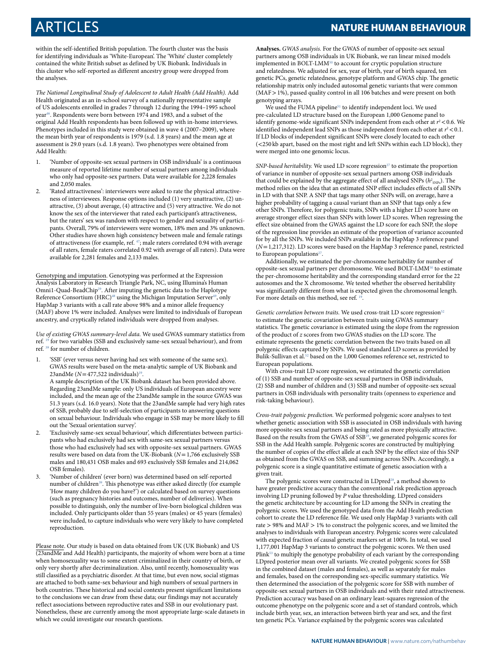ARTICLES **NATURE HUMAN BEHAVIOUR**

within the self-identified British population. The fourth cluster was the basis for identifying individuals as 'White-European'. The 'White' cluster completely contained the white British subset as defined by UK Biobank. Individuals in this cluster who self-reported as different ancestry group were dropped from the analyses.

The National Longitudinal Study of Adolescent to Adult Health (Add Health). Add Health originated as an in-school survey of a nationally representative sample of US adolescents enrolled in grades 7 through 12 during the 1994–1995 school year[46](#page-7-20). Respondents were born between 1974 and 1983, and a subset of the original Add Health respondents has been followed up with in-home interviews. Phenotypes included in this study were obtained in wave 4 (2007–2009), where the mean birth year of respondents is 1979 (s.d. 1.8 years) and the mean age at assessment is 29.0 years (s.d. 1.8 years). Two phenotypes were obtained from Add Health:

- 1. 'Number of opposite-sex sexual partners in OSB individuals' is a continuous measure of reported lifetime number of sexual partners among individuals who only had opposite-sex partners. Data were available for 2,228 females and 2,050 males.
- 2. 'Rated attractiveness': interviewers were asked to rate the physical attractiveness of interviewees. Response options included (1) very unattractive, (2) unattractive, (3) about average, (4) attractive and (5) very attractive. We do not know the sex of the interviewer that rated each participant's attractiveness, but the raters' sex was random with respect to gender and sexuality of participants. Overall, 79% of interviewers were women, 18% men and 3% unknown. Other studies have shown high consistency between male and female ratings of attractiveness (for example, ref. [47](#page-7-21); male raters correlated 0.94 with average of all raters, female raters correlated 0.92 with average of all raters). Data were available for 2,281 females and 2,133 males.

Genotyping and imputation. Genotyping was performed at the Expression Analysis Laboratory in Research Triangle Park, NC, using Illumina's Human Omni1-Quad-BeadChip[29](#page-7-1). After imputing the genetic data to the Haplotype Reference Consortium (HRC)<sup>[48](#page-7-22)</sup> using the Michigan Imputation Server<sup>[49](#page-7-23)</sup>, only HapMap 3 variants with a call rate above 98% and a minor allele frequency (MAF) above 1% were included. Analyses were limited to individuals of European ancestry, and cryptically related individuals were dropped from analyses.

Use of existing GWAS summary-level data. We used GWAS summary statistics from ref. [19](#page-6-9) for two variables (SSB and exclusively same-sex sexual behaviour), and from ref. [39](#page-7-11) for number of children.

- 1. 'SSB' (ever versus never having had sex with someone of the same sex). GWAS results were based on the meta-analytic sample of UK Biobank and 23andMe ( $N = 477,522$  individuals)<sup>[19](#page-6-9)</sup>. A sample description of the UK Biobank dataset has been provided above. Regarding 23andMe sample: only US individuals of European ancestry were included, and the mean age of the 23andMe sample in the source GWAS was 51.3 years (s.d. 16.0 years). Note that the 23andMe sample had very high rates of SSB, probably due to self-selection of participants to answering questions on sexual behaviour. Individuals who engage in SSB may be more likely to fill out the 'Sexual orientation survey'.
- 'Exclusively same-sex sexual behaviour', which differentiates between participants who had exclusively had sex with same-sex sexual partners versus those who had exclusively had sex with opposite-sex sexual partners. GWAS results were based on data from the UK-Biobank ( $N=$  1,766 exclusively SSB males and 180,431 OSB males and 693 exclusively SSB females and 214,062 OSB females).
- 3. 'Number of children' (ever born) was determined based on self-reported number of children<sup>[39](#page-7-11)</sup>. This phenotype was either asked directly (for example 'How many children do you have?') or calculated based on survey questions (such as pregnancy histories and outcomes, number of deliveries). When possible to distinguish, only the number of live-born biological children was included. Only participants older than 55 years (males) or 45 years (females) were included, to capture individuals who were very likely to have completed reproduction.

Please note. Our study is based on data obtained from UK (UK Biobank) and US (23andMe and Add Health) participants, the majority of whom were born at a time when homosexuality was to some extent criminalized in their country of birth, or only very shortly after decriminalization. Also, until recently, homosexuality was still classified as a psychiatric disorder. At that time, but even now, social stigmas are attached to both same-sex behaviour and high numbers of sexual partners in both countries. These historical and social contexts present significant limitations to the conclusions we can draw from these data; our findings may not accurately reflect associations between reproductive rates and SSB in our evolutionary past. Nonetheless, these are currently among the most appropriate large-scale datasets in which we could investigate our research questions.

**Analyses.** GWAS analysis. For the GWAS of number of opposite-sex sexual partners among OSB individuals in UK Biobank, we ran linear mixed models implemented in BOLT-LMM<sup>[50](#page-7-24)</sup> to account for cryptic population structure and relatedness. We adjusted for sex, year of birth, year of birth squared, ten genetic PCs, genetic relatedness, genotype platform and GWAS chip. The genetic relationship matrix only included autosomal genetic variants that were common (MAF > 1%), passed quality control in all 106 batches and were present on both genotyping arrays.

We used the FUMA pipeline<sup>[51](#page-7-25)</sup> to identify independent loci. We used pre-calculated LD structure based on the European 1,000 Genome panel to identify genome-wide significant SNPs independent from each other at  $r<sup>2</sup> < 0.6$ . We identified independent lead SNPs as those independent from each other at  $r^2$  < 0.1. If LD blocks of independent significant SNPs were closely located to each other (<250 kb apart, based on the most right and left SNPs within each LD block), they were merged into one genomic locus.

SNP-based heritability. We used LD score regression<sup>[27](#page-6-18)</sup> to estimate the proportion of variance in number of opposite-sex sexual partners among OSB individuals that could be explained by the aggregate effect of all analysed SNPs  $(h^2_{SNPs})$ . The method relies on the idea that an estimated SNP effect includes effects of all SNPs in LD with that SNP. A SNP that tags many other SNPs will, on average, have a higher probability of tagging a causal variant than an SNP that tags only a few other SNPs. Therefore, for polygenic traits, SNPs with a higher LD score have on average stronger effect sizes than SNPs with lower LD scores. When regressing the effect size obtained from the GWAS against the LD score for each SNP, the slope of the regression line provides an estimate of the proportion of variance accounted for by all the SNPs. We included SNPs available in the HapMap 3 reference panel  $(N= 1, 217, 312)$ . LD scores were based on the HapMap 3 reference panel, restricted to European populations<sup>[27](#page-6-18)</sup>.

Additionally, we estimated the per-chromosome heritability for number of opposite-sex sexual partners per chromosome. We used BOLT-LMM[50](#page-7-24) to estimate the per-chromosome heritability and the corresponding standard error for the 22 autosomes and the X chromosome. We tested whether the observed heritability was significantly different from what is expected given the chromosomal length. For more details on this method, see ref. [19](#page-6-9) .

Genetic correlation between traits. We used cross-trait LD score regression<sup>[52](#page-7-26)</sup> to estimate the genetic covariation between traits using GWAS summary statistics. The genetic covariance is estimated using the slope from the regression of the product of z scores from two GWAS studies on the LD score. The estimate represents the genetic correlation between the two traits based on all polygenic effects captured by SNPs. We used standard LD scores as provided by Bulik-Sullivan et al.[52](#page-7-26) based on the 1,000 Genomes reference set, restricted to European populations.

With cross-trait LD score regression, we estimated the genetic correlation of (1) SSB and number of opposite-sex sexual partners in OSB individuals, (2) SSB and number of children and (3) SSB and number of opposite-sex sexual partners in OSB individuals with personality traits (openness to experience and risk-taking behaviour).

Cross-trait polygenic prediction. We performed polygenic score analyses to test whether genetic association with SSB is associated in OSB individuals with having more opposite-sex sexual partners and being rated as more physically attractive. Based on the results from the GWAS of SSB<sup>[19](#page-6-9)</sup>, we generated polygenic scores for SSB in the Add Health sample. Polygenic scores are constructed by multiplying the number of copies of the effect allele at each SNP by the effect size of this SNP as obtained from the GWAS on SSB, and summing across SNPs. Accordingly, a polygenic score is a single quantitative estimate of genetic association with a given trait.

The polygenic scores were constructed in LDpred<sup>[28](#page-7-0)</sup>, a method shown to have greater predictive accuracy than the conventional risk prediction approach involving LD pruning followed by P value thresholding. LDpred considers the genetic architecture by accounting for LD among the SNPs in creating the polygenic scores. We used the genotyped data from the Add Health prediction cohort to create the LD reference file. We used only HapMap 3 variants with call rate > 98% and MAF > 1% to construct the polygenic scores, and we limited the analyses to individuals with European ancestry. Polygenic scores were calculated with expected fraction of causal genetic markers set at 100%. In total, we used 1,177,001 HapMap 3 variants to construct the polygenic scores. We then used Plink<sup>[53](#page-7-27)</sup> to multiply the genotype probability of each variant by the corresponding LDpred posterior mean over all variants. We created polygenic scores for SSB in the combined dataset (males and females), as well as separately for males and females, based on the corresponding sex-specific summary statistics. We then determined the association of the polygenic score for SSB with number of opposite-sex sexual partners in OSB individuals and with their rated attractiveness. Prediction accuracy was based on an ordinary least-squares regression of the outcome phenotype on the polygenic score and a set of standard controls, which include birth year, sex, an interaction between birth year and sex, and the first ten genetic PCs. Variance explained by the polygenic scores was calculated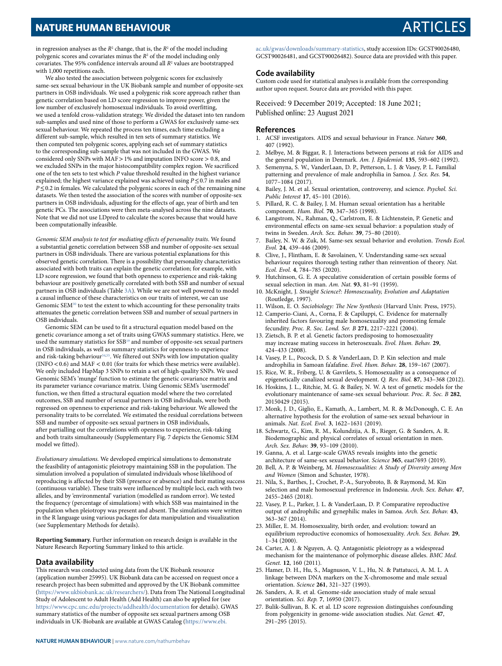#### **NATURE HUMAN BEHAVIOUR** ARTICLES

in regression analyses as the  $R^2$  change, that is, the  $R^2$  of the model including polygenic scores and covariates minus the  $R<sup>2</sup>$  of the model including only covariates. The 95% confidence intervals around all  $R<sup>2</sup>$  values are bootstrapped with 1,000 repetitions each.

We also tested the association between polygenic scores for exclusively same-sex sexual behaviour in the UK Biobank sample and number of opposite-sex partners in OSB individuals. We used a polygenic risk score approach rather than genetic correlation based on LD score regression to improve power, given the low number of exclusively homosexual individuals. To avoid overfitting, we used a tenfold cross-validation strategy. We divided the dataset into ten random sub-samples and used nine of those to perform a GWAS for exclusively same-sex sexual behaviour. We repeated the process ten times, each time excluding a different sub-sample, which resulted in ten sets of summary statistics. We then computed ten polygenic scores, applying each set of summary statistics to the corresponding sub-sample that was not included in the GWAS. We considered only SNPs with MAF > 1% and imputation INFO score > 0.8, and we excluded SNPs in the major histocompatibility complex region. We sacrificed one of the ten sets to test which P value threshold resulted in the highest variance explained; the highest variance explained was achieved using P≤ 0.7 in males and P ≤ 0.2 in females. We calculated the polygenic scores in each of the remaining nine datasets. We then tested the association of the scores with number of opposite-sex partners in OSB individuals, adjusting for the effects of age, year of birth and ten genetic PCs. The associations were then meta-analysed across the nine datasets. Note that we did not use LDpred to calculate the scores because that would have been computationally infeasible.

Genomic SEM analysis to test for mediating effects of personality traits. We found a substantial genetic correlation between SSB and number of opposite-sex sexual partners in OSB individuals. There are various potential explanations for this observed genetic correlation. There is a possibility that personality characteristics associated with both traits can explain the genetic correlation; for example, with LD score regression, we found that both openness to experience and risk-taking behaviour are positively genetically correlated with both SSB and number of sexual partners in OSB individuals (Table [3A](#page-4-0)). While we are not well powered to model a causal influence of these characteristics on our traits of interest, we can use Genomic SEM[30](#page-7-2) to test the extent to which accounting for these personality traits attenuates the genetic correlation between SSB and number of sexual partners in OSB individuals.

Genomic SEM can be used to fit a structural equation model based on the genetic covariance among a set of traits using GWAS summary statistics. Here, we used the summary statistics for SSB<sup>[19](#page-6-9)</sup> and number of opposite-sex sexual partners in OSB individuals, as well as summary statistics for openness to experience and risk-taking behaviour<sup>[54](#page-7-18)[,55](#page-7-19)</sup>. We filtered out SNPs with low imputation quality (INFO < 0.6) and MAF < 0.01 (for traits for which these metrics were available). We only included HapMap 3 SNPs to retain a set of high-quality SNPs. We used Genomic SEM's 'munge' function to estimate the genetic covariance matrix and its parameter variance covariance matrix. Using Genomic SEM's 'usermodel' function, we then fitted a structural equation model where the two correlated outcomes, SSB and number of sexual partners in OSB individuals, were both regressed on openness to experience and risk-taking behaviour. We allowed the personality traits to be correlated. We estimated the residual correlations between SSB and number of opposite-sex sexual partners in OSB individuals, after partialling out the correlations with openness to experience, risk-taking and both traits simultaneously (Supplementary Fig. 7 depicts the Genomic SEM model we fitted).

Evolutionary simulations. We developed empirical simulations to demonstrate the feasibility of antagonistic pleiotropy maintaining SSB in the population. The simulation involved a population of simulated individuals whose likelihood of reproducing is affected by their SSB (presence or absence) and their mating success (continuous variable). These traits were influenced by multiple loci, each with two alleles, and by 'environmental' variation (modelled as random error). We tested the frequency (percentage of simulations) with which SSB was maintained in the population when pleiotropy was present and absent. The simulations were written in the R language using various packages for data manipulation and visualization (see Supplementary Methods for details).

**Reporting Summary.** Further information on research design is available in the Nature Research Reporting Summary linked to this article.

#### **Data availability**

This research was conducted using data from the UK Biobank resource (application number 25995). UK Biobank data can be accessed on request once a research project has been submitted and approved by the UK Biobank committee [\(https://www.ukbiobank.ac.uk/researchers/](https://www.ukbiobank.ac.uk/researchers/)). Data from The National Longitudinal Study of Adolescent to Adult Health (Add Health) can also be applied for (see <https://www.cpc.unc.edu/projects/addhealth/documentation>for details). GWAS summary statistics of the number of opposite sex sexual partners among OSB individuals in UK-Biobank are available at GWAS Catalog [\(https://www.ebi.](https://www.ebi.ac.uk/gwas/downloads/summary-statistics)

#### [ac.uk/gwas/downloads/summary-statistics,](https://www.ebi.ac.uk/gwas/downloads/summary-statistics) study accession IDs: GCST90026480, GCST90026481, and GCST90026482). Source data are provided with this paper.

#### **Code availability**

Custom code used for statistical analyses is available from the corresponding author upon request. Source data are provided with this paper.

Received: 9 December 2019; Accepted: 18 June 2021; Published online: 23 August 2021

#### **References**

- <span id="page-6-0"></span> 1. ACSF investigators. AIDS and sexual behaviour in France. Nature **360**, 407 (1992).
- 2. Melbye, M. & Biggar, R. J. Interactions between persons at risk for AIDS and the general population in Denmark. Am. J. Epidemiol. **135**, 593–602 (1992).
- 3. Semenyna, S. W., VanderLaan, D. P., Petterson, L. J. & Vasey, P. L. Familial patterning and prevalence of male androphilia in Samoa. J. Sex. Res. **54**,  $1077 - 1084$  (2017).
- <span id="page-6-1"></span> 4. Bailey, J. M. et al. Sexual orientation, controversy, and science. Psychol. Sci. Public Interest **17**, 45–101 (2016).
- <span id="page-6-2"></span> 5. Pillard, R. C. & Bailey, J. M. Human sexual orientation has a heritable component. Hum. Biol. **70**, 347–365 (1998).
- <span id="page-6-3"></span> 6. Langstrom, N., Rahman, Q., Carlstrom, E. & Lichtenstein, P. Genetic and environmental effects on same-sex sexual behavior: a population study of twins in Sweden. Arch. Sex. Behav. **39**, 75–80 (2010).
- <span id="page-6-4"></span> 7. Bailey, N. W. & Zuk, M. Same-sex sexual behavior and evolution. Trends Ecol. Evol. **24**, 439–446 (2009).
- <span id="page-6-5"></span> 8. Clive, J., Flintham, E. & Savolainen, V. Understanding same-sex sexual behaviour requires thorough testing rather than reinvention of theory. Nat. Ecol. Evol. **4**, 784–785 (2020).
- <span id="page-6-6"></span> 9. Hutchinson, G. E. A speculative consideration of certain possible forms of sexual selection in man. Am. Nat. **93**, 81–91 (1959).
- 10. McKnight, J. Straight Science?: Homosexuality, Evolution and Adaptation (Routledge, 1997).
- 11. Wilson, E. O. Sociobiology: The New Synthesis (Harvard Univ. Press, 1975).
- <span id="page-6-19"></span> 12. Camperio-Ciani, A., Corna, F. & Capiluppi, C. Evidence for maternally inherited factors favouring male homosexuality and promoting female fecundity. Proc. R. Soc. Lond. Ser. B **271**, 2217–2221 (2004).
- <span id="page-6-13"></span> 13. Zietsch, B. P. et al. Genetic factors predisposing to homosexuality may increase mating success in heterosexuals. Evol. Hum. Behav. **29**, 424–433 (2008).
- 14. Vasey, P. L., Pocock, D. S. & VanderLaan, D. P. Kin selection and male androphilia in Samoan fa'afafine. Evol. Hum. Behav. **28**, 159–167 (2007).
- 15. Rice, W. R., Friberg, U. & Gavrilets, S. Homosexuality as a consequence of epigenetically canalized sexual development. Q. Rev. Biol. **87**, 343–368 (2012).
- 16. Hoskins, J. L., Ritchie, M. G. & Bailey, N. W. A test of genetic models for the evolutionary maintenance of same-sex sexual behaviour. Proc. R. Soc. B **282**, 20150429 (2015).
- <span id="page-6-7"></span> 17. Monk, J. D., Giglio, E., Kamath, A., Lambert, M. R. & McDonough, C. E. An alternative hypothesis for the evolution of same-sex sexual behaviour in animals. Nat. Ecol. Evol. **3**, 1622–1631 (2019).
- <span id="page-6-8"></span> 18. Schwartz, G., Kim, R. M., Kolundzija, A. B., Rieger, G. & Sanders, A. R. Biodemographic and physical correlates of sexual orientation in men. Arch. Sex. Behav. **39**, 93–109 (2010).
- <span id="page-6-9"></span> 19. Ganna, A. et al. Large-scale GWAS reveals insights into the genetic architecture of same-sex sexual behavior. Science **365**, eaat7693 (2019).
- <span id="page-6-10"></span> 20. Bell, A. P. & Weinberg, M. Homosexualities: A Study of Diversity among Men and Women (Simon and Schuster, 1978).
- <span id="page-6-11"></span> 21. Nila, S., Barthes, J., Crochet, P.-A., Suryobroto, B. & Raymond, M. Kin selection and male homosexual preference in Indonesia. Arch. Sex. Behav. **47**, 2455–2465 (2018).
- <span id="page-6-12"></span> 22. Vasey, P. L., Parker, J. L. & VanderLaan, D. P. Comparative reproductive output of androphilic and gynephilic males in Samoa. Arch. Sex. Behav. **43**, 363–367 (2014).
- <span id="page-6-14"></span> 23. Miller, E. M. Homosexuality, birth order, and evolution: toward an equilibrium reproductive economics of homosexuality. Arch. Sex. Behav. **29**, 1–34 (2000).
- <span id="page-6-15"></span> 24. Carter, A. J. & Nguyen, A. Q. Antagonistic pleiotropy as a widespread mechanism for the maintenance of polymorphic disease alleles. BMC Med. Genet. **12**, 160 (2011).
- <span id="page-6-16"></span> 25. Hamer, D. H., Hu, S., Magnuson, V. L., Hu, N. & Pattatucci, A. M. L. A linkage between DNA markers on the X-chromosome and male sexual orientation. Science **261**, 321–327 (1993).
- <span id="page-6-17"></span> 26. Sanders, A. R. et al. Genome-side association study of male sexual orientation. Sci. Rep. **7**, 16950 (2017).
- <span id="page-6-18"></span> 27. Bulik-Sullivan, B. K. et al. LD score regression distinguishes confounding from polygenicity in genome-wide association studies. Nat. Genet. **47**, 291–295 (2015).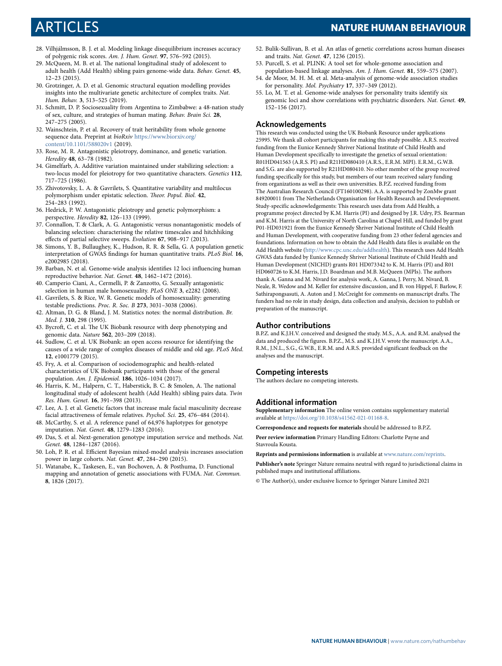### ARTICLES **NATURE HUMAN BEHAVIOUR**

- <span id="page-7-0"></span> 28. Vilhjálmsson, B. J. et al. Modeling linkage disequilibrium increases accuracy of polygenic risk scores. Am. J. Hum. Genet. **97**, 576–592 (2015).
- <span id="page-7-1"></span> 29. McQueen, M. B. et al. The national longitudinal study of adolescent to adult health (Add Health) sibling pairs genome-wide data. Behav. Genet. **45**, 12–23 (2015).
- <span id="page-7-2"></span> 30. Grotzinger, A. D. et al. Genomic structural equation modelling provides insights into the multivariate genetic architecture of complex traits. Nat. Hum. Behav. **3**, 513–525 (2019).
- <span id="page-7-3"></span> 31. Schmitt, D. P. Sociosexuality from Argentina to Zimbabwe: a 48-nation study of sex, culture, and strategies of human mating. Behav. Brain Sci. **28**, 247–275 (2005).
- <span id="page-7-4"></span> 32. Wainschtein, P. et al. Recovery of trait heritability from whole genome sequence data. Preprint at bioRxiv [https://www.biorxiv.org/](https://www.biorxiv.org/content/10.1101/588020v1) [content/10.1101/588020v1](https://www.biorxiv.org/content/10.1101/588020v1) (2019).
- <span id="page-7-5"></span> 33. Rose, M. R. Antagonistic pleiotropy, dominance, and genetic variation. Heredity **48**, 63–78 (1982).
- <span id="page-7-6"></span> 34. Gimelfarb, A. Additive variation maintained under stabilizing selection: a two-locus model for pleiotropy for two quantitative characters. Genetics **112**, 717–725 (1986).
- <span id="page-7-7"></span> 35. Zhivotovsky, L. A. & Gavrilets, S. Quantitative variability and multilocus polymorphism under epistatic selection. Theor. Popul. Biol. **42**, 254–283 (1992).
- <span id="page-7-8"></span> 36. Hedrick, P. W. Antagonistic pleiotropy and genetic polymorphism: a perspective. Heredity **82**, 126–133 (1999).
- <span id="page-7-9"></span> 37. Connallon, T. & Clark, A. G. Antagonistic versus nonantagonistic models of balancing selection: characterising the relative timescales and hitchhiking effects of partial selective sweeps. Evolution **67**, 908–917 (2013).
- <span id="page-7-10"></span> 38. Simons, Y. B., Bullaughey, K., Hudson, R. R. & Sella, G. A population genetic interpretation of GWAS findings for human quantitative traits. PLoS Biol. **16**, e2002985 (2018).
- <span id="page-7-11"></span> 39. Barban, N. et al. Genome-wide analysis identifies 12 loci influencing human reproductive behavior. Nat. Genet. **48**, 1462–1472 (2016).
- <span id="page-7-12"></span> 40. Camperio Ciani, A., Cermelli, P. & Zanzotto, G. Sexually antagonistic selection in human male homosexuality. PLoS ONE **3**, e2282 (2008).
- <span id="page-7-13"></span> 41. Gavrilets, S. & Rice, W. R. Genetic models of homosexuality: generating testable predictions. Proc. R. Soc. B **273**, 3031–3038 (2006).
- <span id="page-7-14"></span> 42. Altman, D. G. & Bland, J. M. Statistics notes: the normal distribution. Br. Med. J. **310**, 298 (1995).
- <span id="page-7-15"></span> 43. Bycroft, C. et al. The UK Biobank resource with deep phenotyping and genomic data. Nature **562**, 203–209 (2018).
- <span id="page-7-16"></span> 44. Sudlow, C. et al. UK Biobank: an open access resource for identifying the causes of a wide range of complex diseases of middle and old age. PLoS Med. **12**, e1001779 (2015).
- <span id="page-7-17"></span> 45. Fry, A. et al. Comparison of sociodemographic and health-related characteristics of UK Biobank participants with those of the general population. Am. J. Epidemiol. **186**, 1026–1034 (2017).
- <span id="page-7-20"></span> 46. Harris, K. M., Halpern, C. T., Haberstick, B. C. & Smolen, A. The national longitudinal study of adolescent health (Add Health) sibling pairs data. Twin Res. Hum. Genet. **16**, 391–398 (2013).
- <span id="page-7-21"></span> 47. Lee, A. J. et al. Genetic factors that increase male facial masculinity decrease facial attractiveness of female relatives. Psychol. Sci. **25**, 476–484 (2014).
- <span id="page-7-22"></span> 48. McCarthy, S. et al. A reference panel of 64,976 haplotypes for genotype imputation. Nat. Genet. **48**, 1279–1283 (2016).
- <span id="page-7-23"></span> 49. Das, S. et al. Next-generation genotype imputation service and methods. Nat. Genet. **48**, 1284–1287 (2016).
- <span id="page-7-24"></span> 50. Loh, P. R. et al. Efficient Bayesian mixed-model analysis increases association power in large cohorts. Nat. Genet. **47**, 284–290 (2015).
- <span id="page-7-25"></span> 51. Watanabe, K., Taskesen, E., van Bochoven, A. & Posthuma, D. Functional mapping and annotation of genetic associations with FUMA. Nat. Commun. **8**, 1826 (2017).
- <span id="page-7-26"></span> 52. Bulik-Sullivan, B. et al. An atlas of genetic correlations across human diseases and traits. Nat. Genet. **47**, 1236 (2015).
- <span id="page-7-27"></span> 53. Purcell, S. et al. PLINK: A tool set for whole-genome association and population-based linkage analyses. Am. J. Hum. Genet. **81**, 559–575 (2007).
- <span id="page-7-18"></span> 54. de Moor, M. H. M. et al. Meta-analysis of genome-wide association studies for personality. Mol. Psychiatry **17**, 337–349 (2012).
- <span id="page-7-19"></span> 55. Lo, M. T. et al. Genome-wide analyses for personality traits identify six genomic loci and show correlations with psychiatric disorders. Nat. Genet. **49**, 152–156 (2017).

#### **Acknowledgements**

This research was conducted using the UK Biobank Resource under applications 25995. We thank all cohort participants for making this study possible. A.R.S. received funding from the Eunice Kennedy Shriver National Institute of Child Health and Human Development specifically to investigate the genetics of sexual orientation: R01HD041563 (A.R.S. PI) and R21HD080410 (A.R.S., E.R.M. MPI). E.R.M., G.W.B. and S.G. are also supported by R21HD080410. No other member of the group received funding specifically for this study, but members of our team received salary funding from organizations as well as their own universities. B.P.Z. received funding from The Australian Research Council (FT160100298). A.A. is supported by ZonMw grant 849200011 from The Netherlands Organisation for Health Research and Development. Study-specific acknowledgements: This research uses data from Add Health, a programme project directed by K.M. Harris (PI) and designed by J.R. Udry, P.S. Bearman and K.M. Harris at the University of North Carolina at Chapel Hill, and funded by grant P01-HD031921 from the Eunice Kennedy Shriver National Institute of Child Health and Human Development, with cooperative funding from 23 other federal agencies and foundations. Information on how to obtain the Add Health data files is available on the Add Health website [\(http://www.cpc.unc.edu/addhealth\)](http://www.cpc.unc.edu/addhealth). This research uses Add Health GWAS data funded by Eunice Kennedy Shriver National Institute of Child Health and Human Development (NICHD) grants R01 HD073342 to K. M. Harris (PI) and R01 HD060726 to K.M. Harris, J.D. Boardman and M.B. McQueen (MPIs). The authors thank A. Ganna and M. Nivard for analysis work, A. Ganna, J. Perry, M. Nivard, B. Neale, R. Wedow and M. Keller for extensive discussion, and B. von Hippel, F. Barlow, F. Sathirapongsasuti, A. Auton and J. McCreight for comments on manuscript drafts. The funders had no role in study design, data collection and analysis, decision to publish or preparation of the manuscript.

#### **Author contributions**

B.P.Z. and K.J.H.V. conceived and designed the study. M.S., A.A. and R.M. analysed the data and produced the figures. B.P.Z., M.S. and K.J.H.V. wrote the manuscript. A.A., R.M., J.N.L., S.G., G.W.B., E.R.M. and A.R.S. provided significant feedback on the analyses and the manuscript.

#### **Competing interests**

The authors declare no competing interests.

#### **Additional information**

**Supplementary information** The online version contains supplementary material available at [https://doi.org/10.1038/s41562-021-01168-8.](https://doi.org/10.1038/s41562-021-01168-8)

**Correspondence and requests for materials** should be addressed to B.P.Z.

**Peer review information** Primary Handling Editors: Charlotte Payne and Stavroula Kousta.

**Reprints and permissions information** is available at [www.nature.com/reprints](http://www.nature.com/reprints).

**Publisher's note** Springer Nature remains neutral with regard to jurisdictional claims in published maps and institutional affiliations.

© The Author(s), under exclusive licence to Springer Nature Limited 2021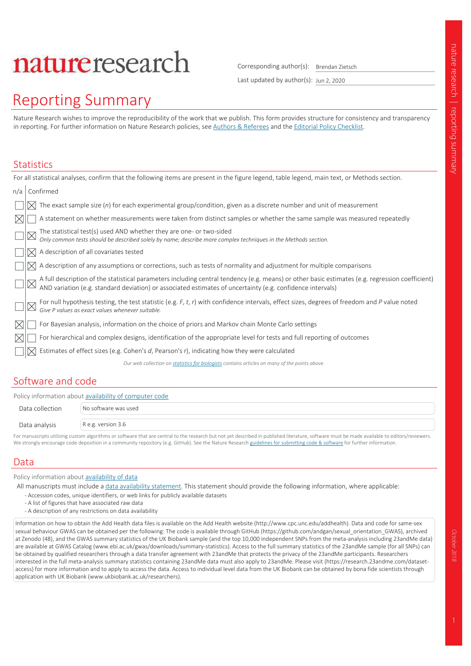# natureresearch

Corresponding author(s): Brendan Zietsch

Last updated by author(s): Jun 2, 2020

## Reporting Summary

Nature Research wishes to improve the reproducibility of the work that we publish. This form provides structure for consistency and transparency in reporting. For further information on Nature Research policies, see Authors & Referees and the Editorial Policy Checklist.

#### **Statistics**

|     | For all statistical analyses, confirm that the following items are present in the figure legend, table legend, main text, or Methods section.                                                                                  |
|-----|--------------------------------------------------------------------------------------------------------------------------------------------------------------------------------------------------------------------------------|
| n/a | Confirmed                                                                                                                                                                                                                      |
|     | The exact sample size $(n)$ for each experimental group/condition, given as a discrete number and unit of measurement                                                                                                          |
|     | A statement on whether measurements were taken from distinct samples or whether the same sample was measured repeatedly                                                                                                        |
|     | The statistical test(s) used AND whether they are one- or two-sided<br>Only common tests should be described solely by name; describe more complex techniques in the Methods section.                                          |
|     | A description of all covariates tested                                                                                                                                                                                         |
|     | A description of any assumptions or corrections, such as tests of normality and adjustment for multiple comparisons                                                                                                            |
|     | A full description of the statistical parameters including central tendency (e.g. means) or other basic estimates (e.g. regression coefficient) AND variation (e.g. standard deviation) or associated estimates of uncertainty |
|     | For null hypothesis testing, the test statistic (e.g. F, t, r) with confidence intervals, effect sizes, degrees of freedom and P value noted Give P values as exact values whenever suitable.                                  |
|     | For Bayesian analysis, information on the choice of priors and Markov chain Monte Carlo settings                                                                                                                               |
|     | For hierarchical and complex designs, identification of the appropriate level for tests and full reporting of outcomes                                                                                                         |
|     | Estimates of effect sizes (e.g. Cohen's d, Pearson's r), indicating how they were calculated                                                                                                                                   |
|     | Our web collection on statistics for biologists contains articles on many of the points above.                                                                                                                                 |
|     |                                                                                                                                                                                                                                |

### Software and code

| Policy information about availability of computer code |                      |  |  |  |
|--------------------------------------------------------|----------------------|--|--|--|
| Data collection                                        | No software was used |  |  |  |
| Data analysis                                          | R e.g. version 3.6   |  |  |  |

For manuscripts utilizing custom algorithms or software that are central to the research but not yet described in published literature, software must be made available to editors/reviewers. We strongly encourage code deposition in a community repository (e.g. GitHub). See the Nature Research guidelines for submitting code & software for further information

### Data

Policy information about availability of data

All manuscripts must include a data availability statement. This statement should provide the following information, where applicable: - Accession codes, unique identifiers, or web links for publicly available datasets

- A list of figures that have associated raw data
- A description of any restrictions on data availability

Information on how to obtain the Add Health data files is available on the Add Health website (http://www.cpc.unc.edu/addhealth). Data and code for same-sex sexual behaviour GWAS can be obtained per the following: The code is available through GitHub (https://github.com/andgan/sexual\_orientation\_GWAS), archived at Zenodo (48), and the GWAS summary statistics of the UK Biobank sample (and the top 10,000 independent SNPs from the meta-analysis including 23andMe data) are available at GWAS Catalog (www.ebi.ac.uk/gwas/downloads/summary-statistics). Access to the full summary statistics of the 23andMe sample (for all SNPs) can be obtained by qualified researchers through a data transfer agreement with 23andMe that protects the privacy of the 23andMe participants. Researchers interested in the full meta-analysis summary statistics containing 23andMe data must also apply to 23andMe. Please visit (https://research.23andme.com/datasetaccess) for more information and to apply to access the data. Access to individual level data from the UK Biobank can be obtained by bona fide scientists through application with UK Biobank (www.ukbiobank.ac.uk/researchers).